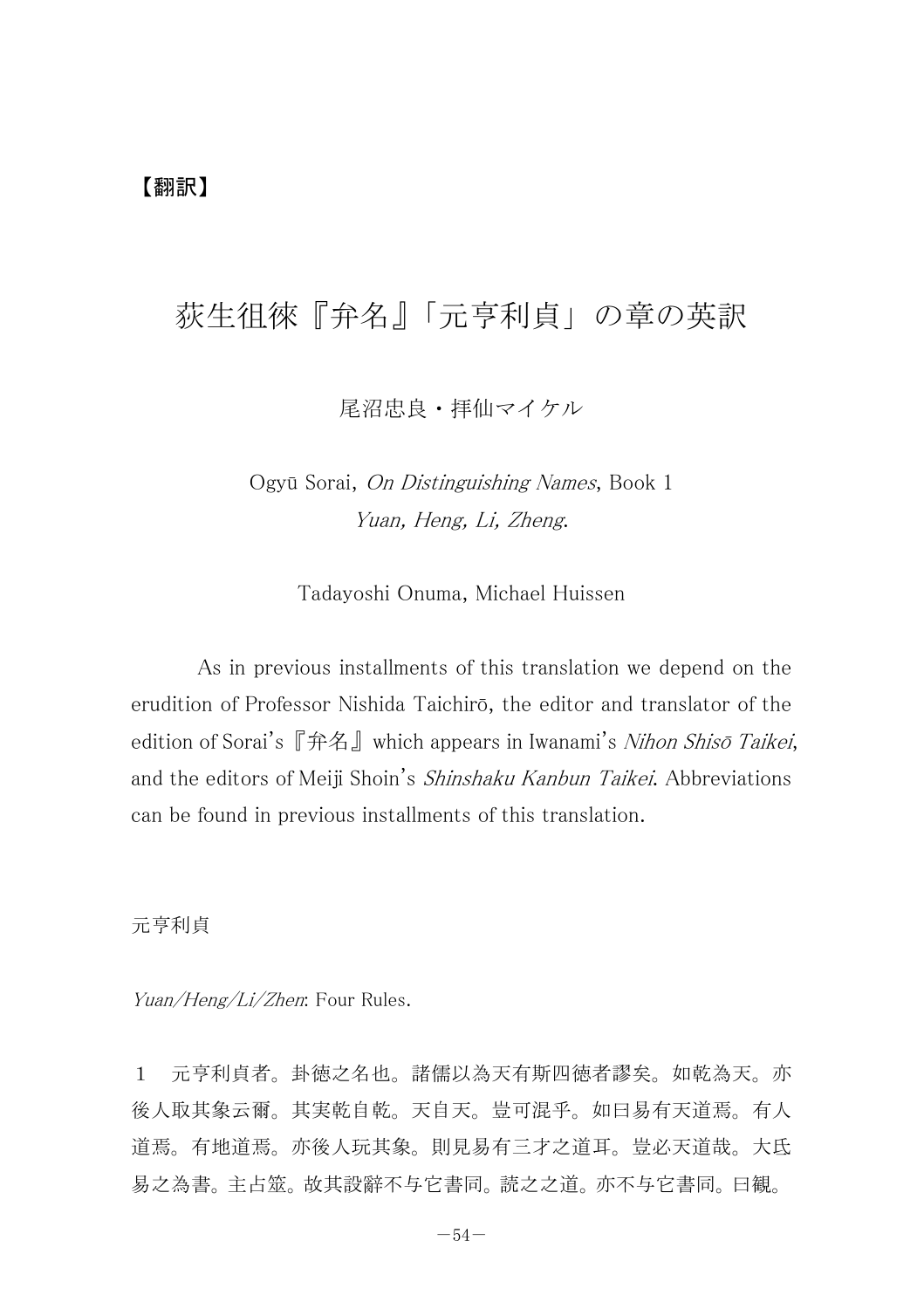尾沼忠良・拝仙マイケル

Ogyū Sorai, On Distinguishing Names, Book 1 Yuan, Heng, Li, Zheng.

Tadayoshi Onuma, Michael Huissen

As in previous installments of this translation we depend on the erudition of Professor Nishida Taichirō, the editor and translator of the edition of Sorai's 『弁名』 which appears in Iwanami's Nihon Shisō Taikei, and the editors of Meiji Shoin's *Shinshaku Kanbun Taikei*. Abbreviations can be found in previous installments of this translation.

元亨利貞

Yuan/Heng/Li/Zhen: Four Rules.

1 元亨利貞者。卦徳之名也。諸儒以為天有斯四徳者謬矣。如乾為天。亦 後人取其象云爾。其実乾自乾。天自天。豈可混乎。如曰易有天道焉。有人 道焉。有地道焉。亦後人玩其象。則見易有三才之道耳。豈必天道哉。大氐 易之為書。主占筮。故其設辭不与它書同。読之之道。亦不与它書同。曰観。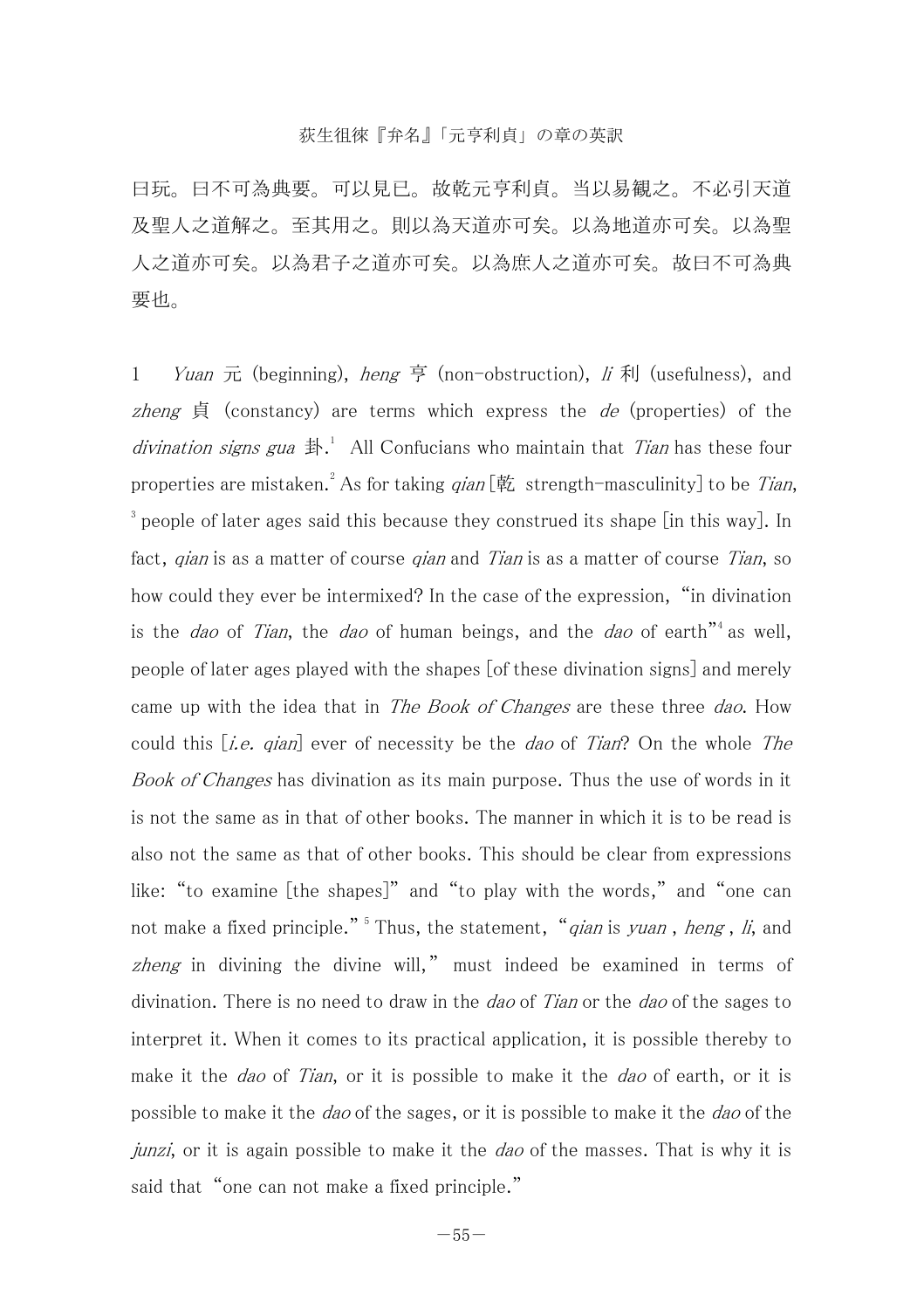曰玩。曰不可為典要。可以見已。故乾元亨利貞。当以易観之。不必引天道 及聖人之道解之。至其用之。則以為天道亦可矣。以為地道亦可矣。以為聖 人之道亦可矣。以為君子之道亦可矣。以為庶人之道亦可矣。故曰不可為典 要也。

1 *Yuan* 元 (beginning), *heng* 亨 (non-obstruction), *li* 利 (usefulness), and zheng  $\sharp$  (constancy) are terms which express the *de* (properties) of the divination signs gua  $\sharp$ .<sup>1</sup> All Confucians who maintain that *Tian* has these four properties are mistaken.<sup>2</sup> As for taking  $qian [\&$  strength-masculinity] to be Tian, <sup>3</sup> people of later ages said this because they construed its shape [in this way]. In fact, gian is as a matter of course gian and Tian is as a matter of course Tian, so how could they ever be intermixed? In the case of the expression, "in divination is the *dao* of *Tian*, the *dao* of human beings, and the *dao* of earth<sup>"4</sup> as well. people of later ages played with the shapes [of these divination signs] and merely came up with the idea that in The Book of Changes are these three dao. How could this  $[i.e.$  qian] ever of necessity be the dao of Tian? On the whole The Book of Changes has divination as its main purpose. Thus the use of words in it is not the same as in that of other books. The manner in which it is to be read is also not the same as that of other books. This should be clear from expressions like: "to examine [the shapes]" and "to play with the words," and "one can not make a fixed principle."<sup>5</sup> Thus, the statement, "qian is yuan, heng, li, and zheng in divining the divine will," must indeed be examined in terms of divination. There is no need to draw in the *dao* of *Tian* or the *dao* of the sages to interpret it. When it comes to its practical application, it is possible thereby to make it the *dao* of Tian, or it is possible to make it the *dao* of earth, or it is possible to make it the dao of the sages, or it is possible to make it the dao of the  $i$ unzi, or it is again possible to make it the *dao* of the masses. That is why it is said that "one can not make a fixed principle."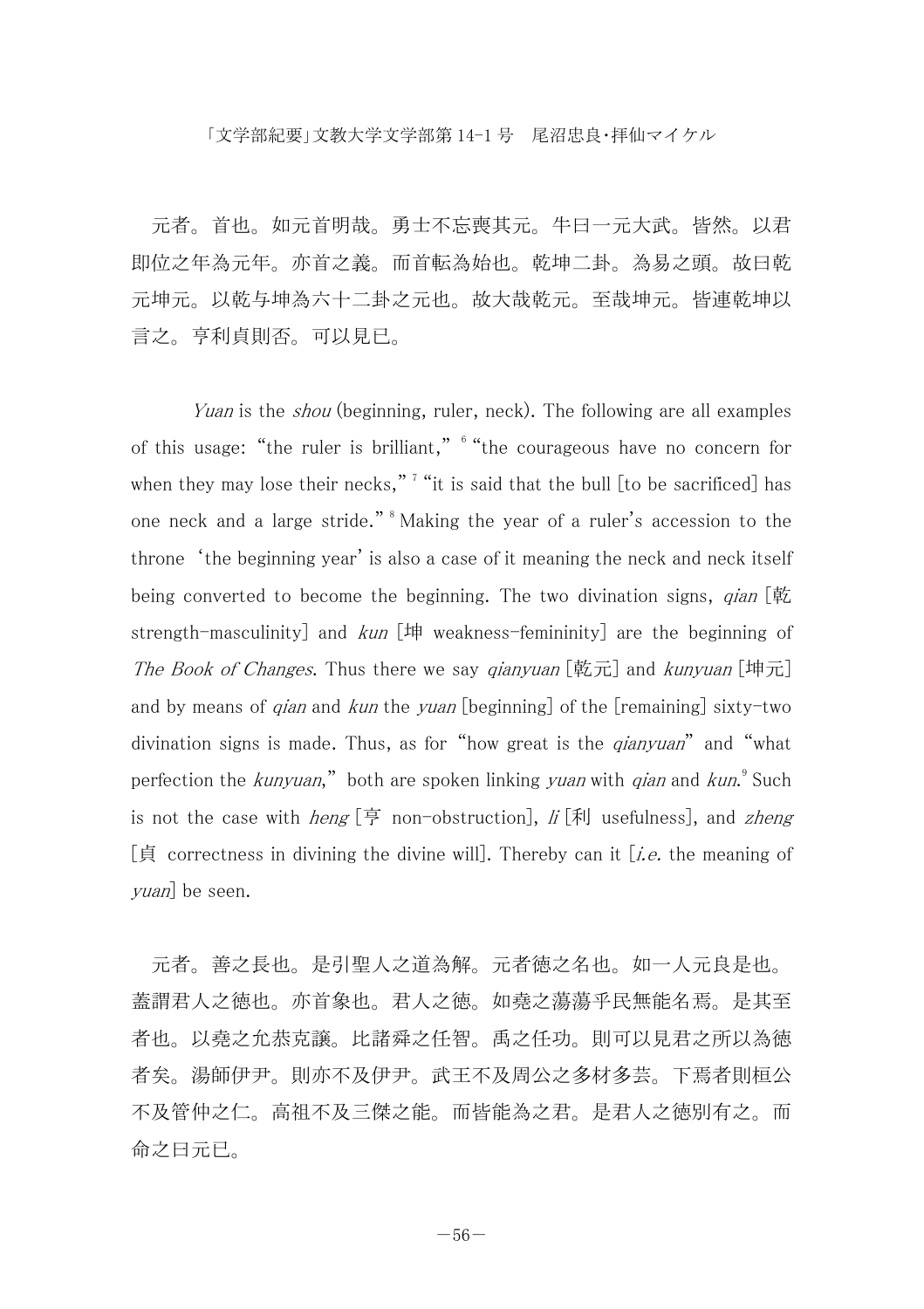元者。首也。如元首明哉。勇士不忘喪其元。牛曰一元大武。皆然。以君 即位之年為元年。亦首之義。而首転為始也。乾坤二卦。為易之頭。故曰乾 元坤元。以乾与坤為六十二卦之元也。故大哉乾元。至哉坤元。皆連乾坤以 言之。亨利貞則否。可以見已。

Yuan is the *shou* (beginning, ruler, neck). The following are all examples of this usage: "the ruler is brilliant," 6 "the courageous have no concern for when they may lose their necks,"<sup>7</sup> "it is said that the bull  $[$  to be sacrificed $]$  has one neck and a large stride." 8 Making the year of a ruler's accession to the throne 'the beginning year' is also a case of it meaning the neck and neck itself being converted to become the beginning. The two divination signs,  $qian$   $\phi$ strength-masculinity] and  $kun$  [坤 weakness-femininity] are the beginning of The Book of Changes. Thus there we say qianyuan [乾元] and kunyuan [坤元] and by means of *qian* and *kun* the yuan [beginning] of the [remaining] sixty-two divination signs is made. Thus, as for "how great is the *gianyuan*" and "what perfection the *kunyuan*," both are spoken linking *yuan* with *qian* and *kun*.°Such is not the case with *heng* [亨 non-obstruction],  $\hat{h}$  [利 usefulness], and *zheng* [貞 correctness in divining the divine will]. Thereby can it [i.e. the meaning of yuan] be seen.

 元者。善之長也。是引聖人之道為解。元者徳之名也。如一人元良是也。 蓋謂君人之徳也。亦首象也。君人之徳。如堯之蕩蕩乎民無能名焉。是其至 者也。以堯之允恭克譲。比諸舜之任智。禹之任功。則可以見君之所以為徳 者矣。湯師伊尹。則亦不及伊尹。武王不及周公之多材多芸。下焉者則桓公 不及管仲之仁。高祖不及三傑之能。而皆能為之君。是君人之徳別有之。而 命之曰元已。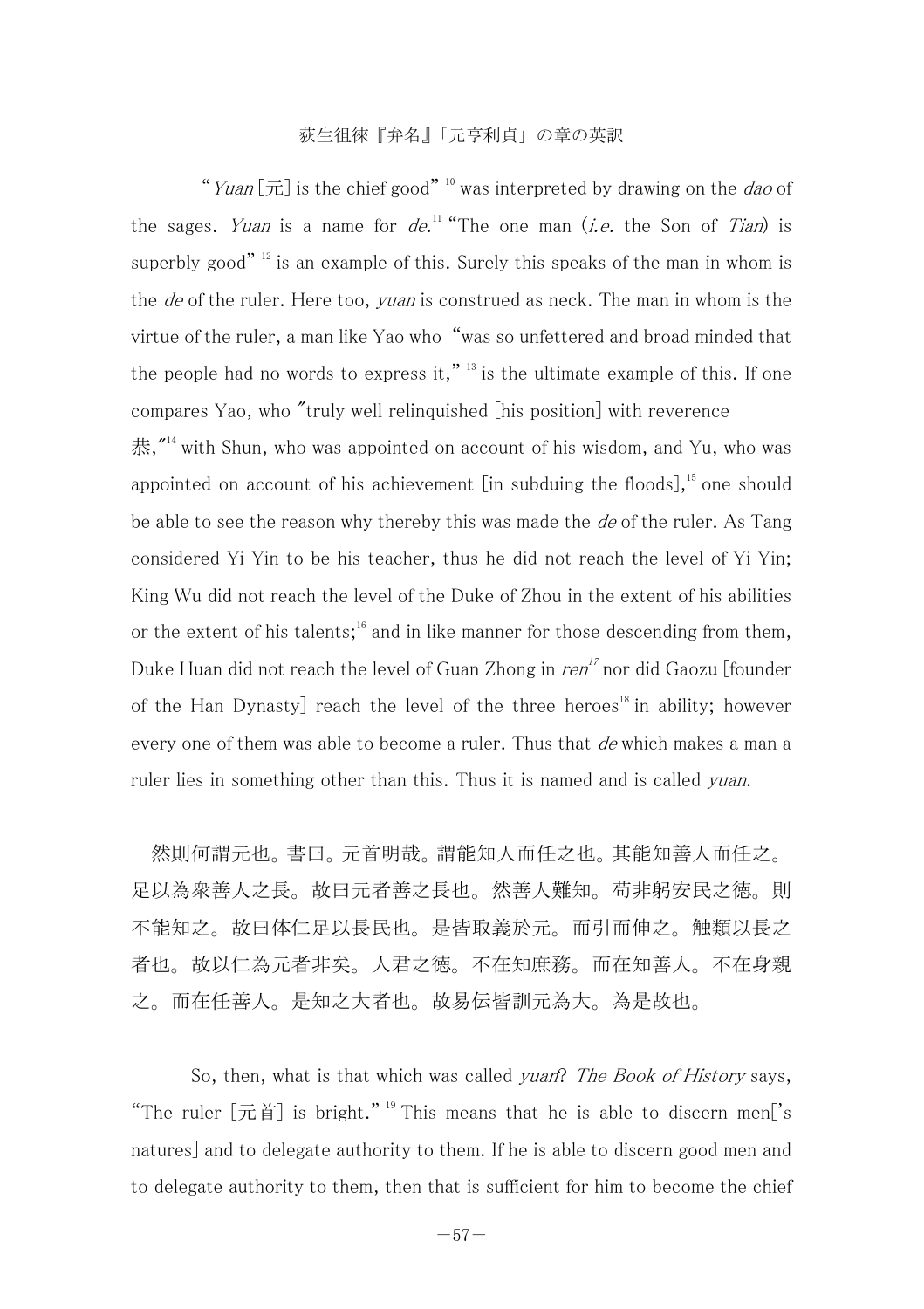"Yuan  $\lceil \overline{\tau} \rceil$  is the chief good" <sup>10</sup> was interpreted by drawing on the *dao* of the sages. *Yuan* is a name for  $de^{11}$  "The one man (*i.e.* the Son of *Tian*) is superbly good"  $12$  is an example of this. Surely this speaks of the man in whom is the *de* of the ruler. Here too, *yuan* is construed as neck. The man in whom is the virtue of the ruler, a man like Yao who "was so unfettered and broad minded that the people had no words to express it,"  $^{13}$  is the ultimate example of this. If one compares Yao, who "truly well relinquished [his position] with reverence 恭,"<sup>14</sup> with Shun, who was appointed on account of his wisdom, and Yu, who was appointed on account of his achievement  $\lceil$ in subduing the floods], <sup>15</sup> one should be able to see the reason why thereby this was made the  $de$  of the ruler. As Tang considered Yi Yin to be his teacher, thus he did not reach the level of Yi Yin; King Wu did not reach the level of the Duke of Zhou in the extent of his abilities or the extent of his talents;<sup>16</sup> and in like manner for those descending from them, Duke Huan did not reach the level of Guan Zhong in  $ren<sup>17</sup>$  nor did Gaozu [founder] of the Han Dynasty] reach the level of the three heroes<sup>18</sup> in ability; however every one of them was able to become a ruler. Thus that de which makes a man a ruler lies in something other than this. Thus it is named and is called *yuan*.

 然則何謂元也。書曰。元首明哉。謂能知人而任之也。其能知善人而任之。 足以為衆善人之長。故曰元者善之長也。然善人難知。苟非躬安民之徳。則 不能知之。故曰体仁足以長民也。是皆取義於元。而引而伸之。触類以長之 者也。故以仁為元者非矣。人君之徳。不在知庶務。而在知善人。不在身親 之。而在任善人。是知之大者也。故易伝皆訓元為大。為是故也。

So, then, what is that which was called yuan? The Book of History says, "The ruler  $\lceil \vec{\pi} \rceil$  is bright." <sup>19</sup> This means that he is able to discern men<sup>'</sup>s natures] and to delegate authority to them. If he is able to discern good men and to delegate authority to them, then that is sufficient for him to become the chief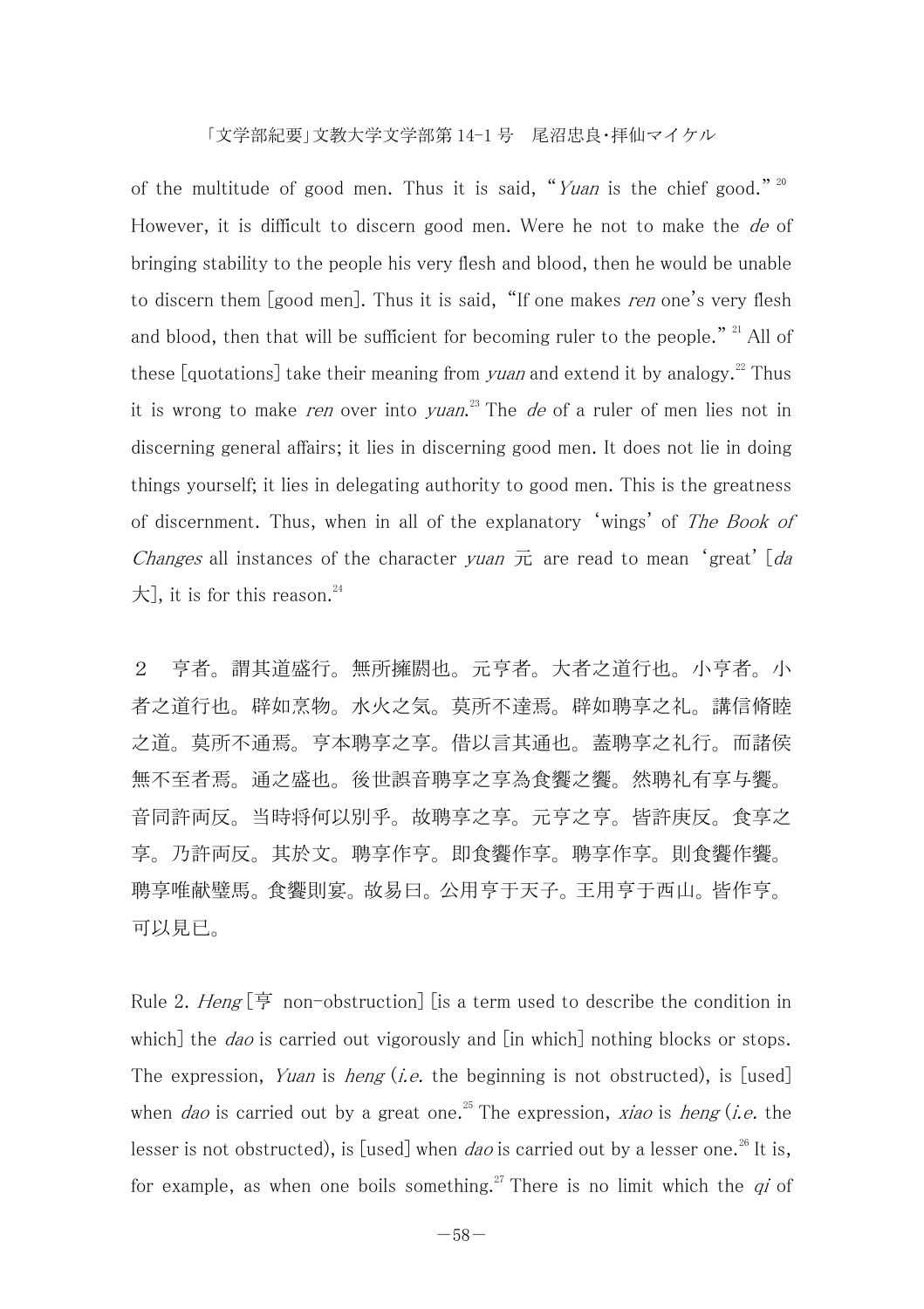of the multitude of good men. Thus it is said, "Yuan is the chief good." 20 However, it is difficult to discern good men. Were he not to make the *de* of bringing stability to the people his very flesh and blood, then he would be unable to discern them [good men]. Thus it is said, "If one makes ren one's very flesh and blood, then that will be sufficient for becoming ruler to the people." <sup>21</sup> All of these [quotations] take their meaning from *yuan* and extend it by analogy.<sup>22</sup> Thus it is wrong to make *ren* over into *yuan*.<sup>23</sup> The *de* of a ruler of men lies not in discerning general affairs; it lies in discerning good men. It does not lie in doing things yourself; it lies in delegating authority to good men. This is the greatness of discernment. Thus, when in all of the explanatory 'wings' of The Book of *Changes* all instances of the character yuan  $\bar{\pi}$  are read to mean 'great' [da  $\pm$ ], it is for this reason.<sup>24</sup>

2 亨者。謂其道盛行。無所擁閼也。元亨者。大者之道行也。小亨者。小 者之道行也。辟如烹物。水火之気。莫所不達焉。辟如聘享之礼。講信脩睦 之道。莫所不通焉。亨本聘享之享。借以言其通也。蓋聘享之礼行。而諸侯 無不至者焉。通之盛也。後世誤音聘享之享為食饗之饗。然聘礼有享与饗。 音同許両反。当時将何以別乎。故聘享之享。元亨之亨。皆許庚反。食享之 享。乃許両反。其於文。聘享作亨。即食饗作享。聘享作享。則食饗作饗。 聘享唯献璧馬。食饗則宴。故易曰。公用亨于天子。王用亨于西山。皆作亨。 可以見已。

Rule 2. Heng  $\boxed{\oplus}$  non-obstruction lis a term used to describe the condition in which] the *dao* is carried out vigorously and [in which] nothing blocks or stops. The expression, Yuan is heng (i.e. the beginning is not obstructed), is [used] when *dao* is carried out by a great one.<sup>25</sup> The expression, *xiao* is *heng* (*i.e.* the lesser is not obstructed), is [used] when *dao* is carried out by a lesser one.<sup>26</sup> It is, for example, as when one boils something.<sup>27</sup> There is no limit which the  $qi$  of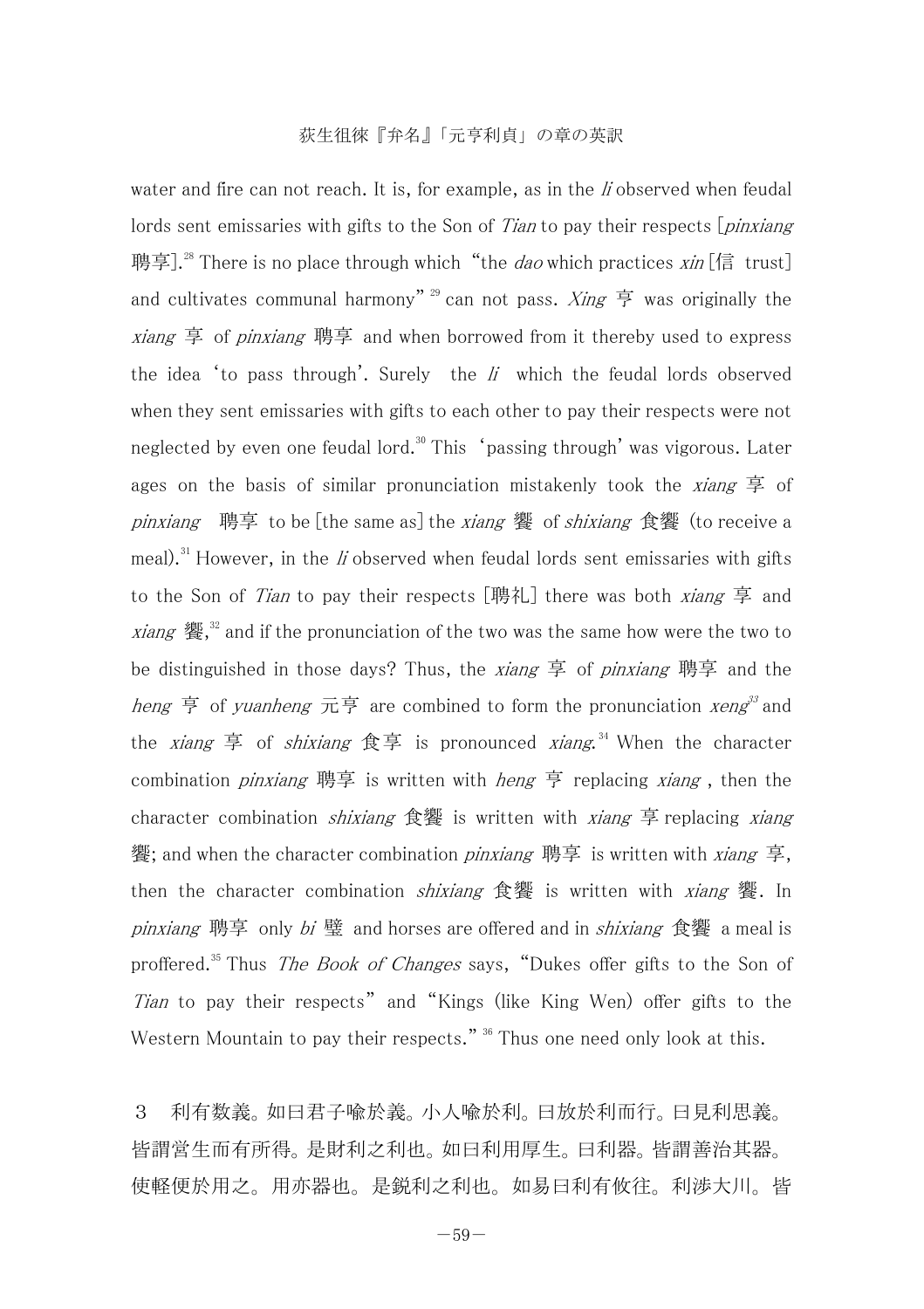water and fire can not reach. It is, for example, as in the  $\ddot{I}$  observed when feudal lords sent emissaries with gifts to the Son of Tian to pay their respects *[pinxiang*] 聘享].<sup>28</sup> There is no place through which "the *dao* which practices  $x$ *in* [信 trust] and cultivates communal harmony"<sup>29</sup> can not pass. *Xing* 亨 was originally the *xiang* 享 of *pinxiang* 聘享 and when borrowed from it thereby used to express the idea 'to pass through'. Surely the  $li$  which the feudal lords observed when they sent emissaries with gifts to each other to pay their respects were not neglected by even one feudal lord.<sup>30</sup> This 'passing through' was vigorous. Later ages on the basis of similar pronunciation mistakenly took the *xiang*  $\frac{1}{r}$  of pinxiang 聘享 to be [the same as] the xiang 饗 of shixiang 食饗 (to receive a meal).<sup>31</sup> However, in the *li* observed when feudal lords sent emissaries with gifts to the Son of *Tian* to pay their respects [聘礼] there was both *xiang* 享 and xiang 饗,<sup>32</sup> and if the pronunciation of the two was the same how were the two to be distinguished in those days? Thus, the *xiang* 享 of *pinxiang* 聘享 and the heng 亨 of yuanheng 元亨 are combined to form the pronunciation *xeng*<sup>33</sup> and the *xiang* 享 of *shixiang* 食享 is pronounced *xiang*.<sup>34</sup> When the character combination *pinxiang* 聘享 is written with *heng* 亨 replacing *xiang*, then the character combination *shixiang* 食饗 is written with *xiang* 享 replacing *xiang* 饗; and when the character combination pinxiang 聘享 is written with xiang 享, then the character combination *shixiang* 食饗 is written with *xiang* 饗. In pinxiang 聘享 only bi 璧 and horses are offered and in shixiang 食饗 a meal is proffered.<sup>35</sup> Thus *The Book of Changes* says, "Dukes offer gifts to the Son of Tian to pay their respects" and "Kings (like King Wen) offer gifts to the Western Mountain to pay their respects." <sup>36</sup> Thus one need only look at this.

3 利有数義。如曰君子喩於義。小人喩於利。曰放於利而行。曰見利思義。 皆謂営生而有所得。是財利之利也。如曰利用厚生。曰利器。皆謂善治其器。 使軽便於用之。用亦器也。是鋭利之利也。如易曰利有攸往。利渉大川。皆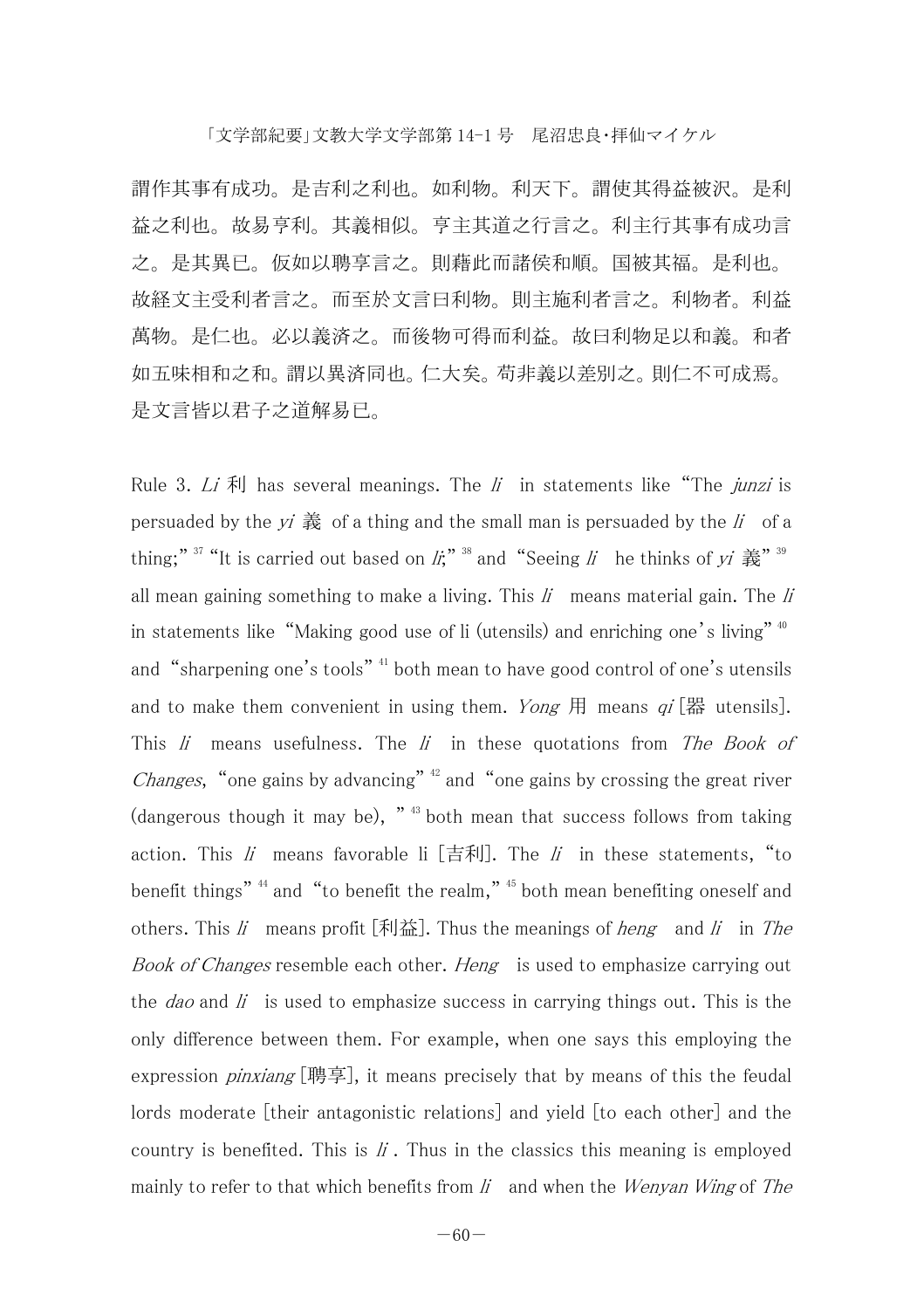謂作其事有成功。是吉利之利也。如利物。利天下。謂使其得益被沢。是利 益之利也。故易亨利。其義相似。亨主其道之行言之。利主行其事有成功言 之。是其異已。仮如以聘享言之。則藉此而諸侯和順。国被其福。是利也。 故経文主受利者言之。而至於文言曰利物。則主施利者言之。利物者。利益 萬物。是仁也。必以義済之。而後物可得而利益。故曰利物足以和義。和者 如五味相和之和。謂以異済同也。仁大矣。苟非義以差別之。則仁不可成焉。 是文言皆以君子之道解易已。

Rule 3. Li  $\bar{x}$  has several meanings. The li in statements like "The junzi is persuaded by the  $yi \frac{2}{10}$  of a thing and the small man is persuaded by the  $li$  of a thing;"  $37$  "It is carried out based on *li*;"  $38$  and "Seeing *li* he thinks of yi  $\frac{2}{56}$ "  $39$ all mean gaining something to make a living. This  $li$  means material gain. The  $li$ in statements like "Making good use of li (utensils) and enriching one's living" 40 and "sharpening one's tools"<sup>41</sup> both mean to have good control of one's utensils and to make them convenient in using them. Yong 用 means  $qi$  [器 utensils]. This  $li$  means usefulness. The  $li$  in these quotations from The Book of *Changes*, "one gains by advancing"  $42$  and "one gains by crossing the great river  $(d$ angerous though it may be),  $"$ <sup>43</sup> both mean that success follows from taking action. This  $li$  means favorable li [吉利]. The  $li$  in these statements, "to benefit things" 44 and "to benefit the realm," 45 both mean benefiting oneself and others. This li means profit  $[\frac{1}{2}]$ . Thus the meanings of *heng* and li in The Book of Changes resemble each other. Heng is used to emphasize carrying out the *dao* and  $\hat{I}$  is used to emphasize success in carrying things out. This is the only difference between them. For example, when one says this employing the expression *pinxiang* [聘享], it means precisely that by means of this the feudal lords moderate [their antagonistic relations] and yield [to each other] and the country is benefited. This is  $\ddot{I}$ . Thus in the classics this meaning is employed mainly to refer to that which benefits from  $\ddot{\mu}$  and when the Wenyan Wing of The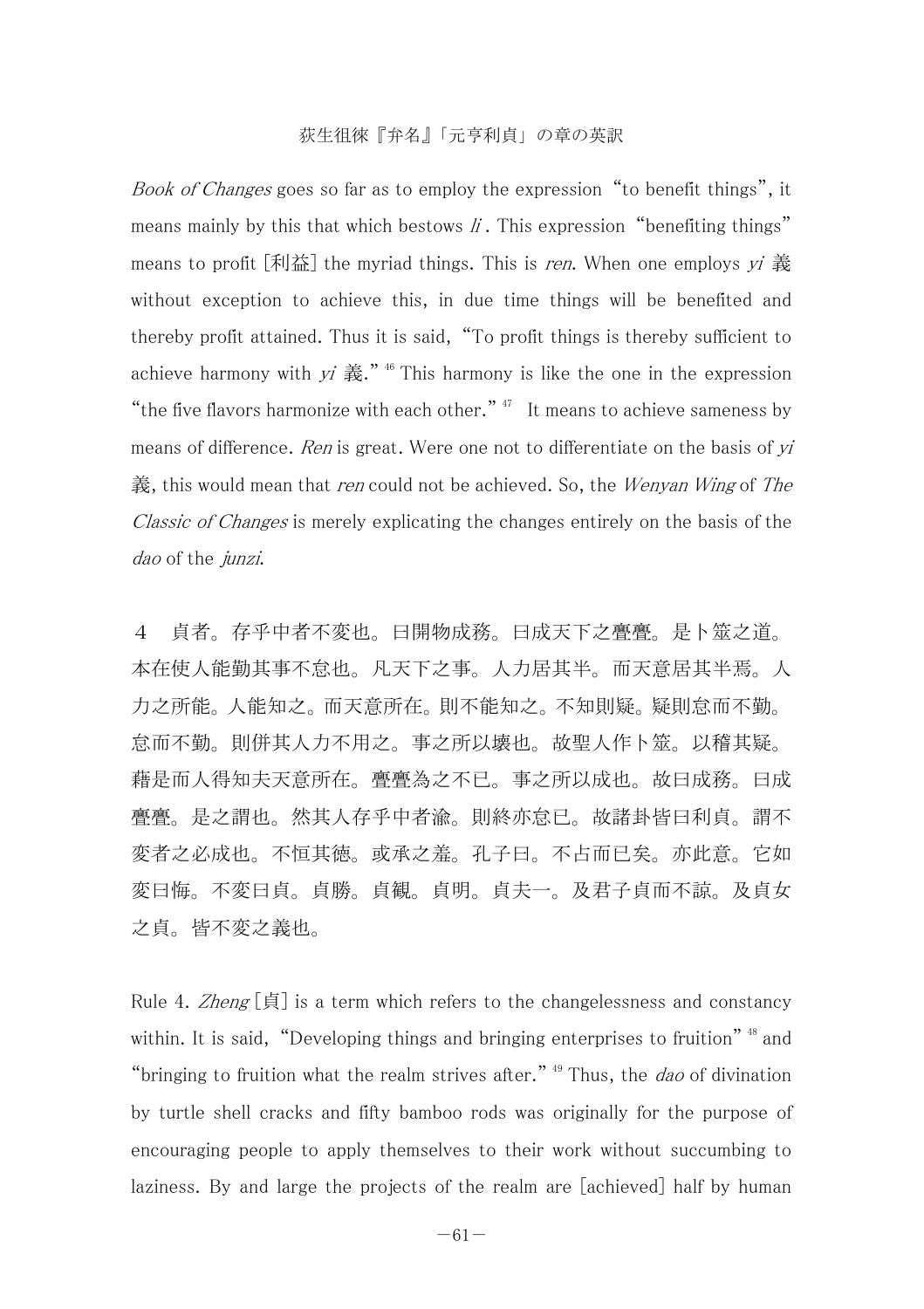Book of Changes goes so far as to employ the expression "to benefit things", it means mainly by this that which bestows  $\ddot{I}$ . This expression "benefiting things" means to profit  $\lceil \frac{1}{2} \rceil$  the myriad things. This is ren. When one employs vi 義 without exception to achieve this, in due time things will be benefited and thereby profit attained. Thus it is said, "To profit things is thereby sufficient to achieve harmony with  $yi \ddot{\mathbf{\ddot{x}}}$ ." <sup>46</sup> This harmony is like the one in the expression "the five flavors harmonize with each other."  $47$  It means to achieve sameness by means of difference. Ren is great. Were one not to differentiate on the basis of  $yi$ 義, this would mean that *ren* could not be achieved. So, the *Wenyan Wing* of The Classic of Changes is merely explicating the changes entirely on the basis of the dao of the junzi.

4 貞者。存乎中者不変也。曰開物成務。曰成天下之亹亹。是卜筮之道。 本在使人能勤其事不怠也。凡天下之事。人力居其半。而天意居其半焉。人 力之所能。人能知之。而天意所在。則不能知之。不知則疑。疑則怠而不勤。 怠而不勤。則併其人力不用之。事之所以壊也。故聖人作卜筮。以稽其疑。 藉是而人得知夫天意所在。亹亹為之不已。事之所以成也。故曰成務。曰成 亹亹。是之謂也。然其人存乎中者渝。則終亦怠已。故諸卦皆曰利貞。謂不 変者之必成也。不恒其徳。或承之羞。孔子曰。不占而已矣。亦此意。它如 変曰悔。不変曰貞。貞勝。貞観。貞明。貞夫一。及君子貞而不諒。及貞女 之貞。皆不変之義也。

Rule 4. Zheng  $\lceil \frac{1}{5} \rceil$  is a term which refers to the changelessness and constancy within. It is said, "Developing things and bringing enterprises to fruition"<sup>48</sup> and "bringing to fruition what the realm strives after."  $49$  Thus, the *dao* of divination by turtle shell cracks and fifty bamboo rods was originally for the purpose of encouraging people to apply themselves to their work without succumbing to laziness. By and large the projects of the realm are [achieved] half by human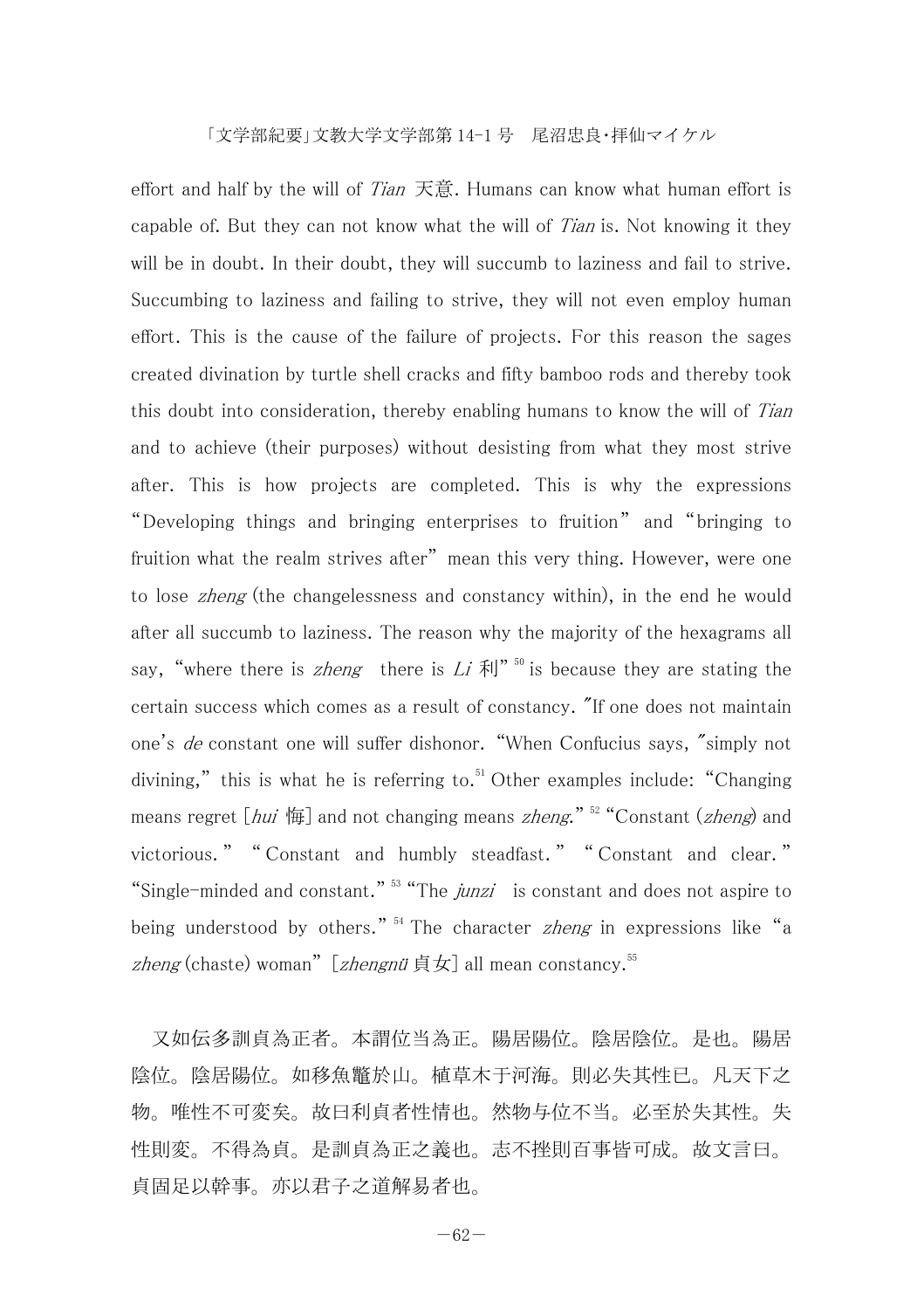effort and half by the will of *Tian* 天意. Humans can know what human effort is capable of. But they can not know what the will of *Tian* is. Not knowing it they will be in doubt. In their doubt, they will succumb to laziness and fail to strive. Succumbing to laziness and failing to strive, they will not even employ human effort. This is the cause of the failure of projects. For this reason the sages created divination by turtle shell cracks and fifty bamboo rods and thereby took this doubt into consideration, thereby enabling humans to know the will of Tian and to achieve (their purposes) without desisting from what they most strive after. This is how projects are completed. This is why the expressions "Developing things and bringing enterprises to fruition" and "bringing to fruition what the realm strives after" mean this very thing. However, were one to lose *zheng* (the changelessness and constancy within), in the end he would after all succumb to laziness. The reason why the majority of the hexagrams all say, "where there is *zheng* there is Li  $\bar{x}$ ||"<sup>50</sup> is because they are stating the certain success which comes as a result of constancy. "If one does not maintain one's de constant one will suffer dishonor. "When Confucius says, "simply not divining," this is what he is referring to.<sup>51</sup> Other examples include: "Changing means regret  $\lceil hui \rceil$  and not changing means *zheng*."  $52$  "Constant (*zheng*) and victorious. " " Constant and humbly steadfast. " " Constant and clear. " "Single-minded and constant."  $53$  "The junzi is constant and does not aspire to being understood by others." <sup>54</sup> The character *zheng* in expressions like "a zheng (chaste) woman" [zhengnü貞女] all mean constancy.<sup>55</sup>

 又如伝多訓貞為正者。本謂位当為正。陽居陽位。陰居陰位。是也。陽居 陰位。陰居陽位。如移魚鼈於山。植草木于河海。則必失其性已。凡天下之 物。唯性不可変矣。故曰利貞者性情也。然物与位不当。必至於失其性。失 性則変。不得為貞。是訓貞為正之義也。志不挫則百事皆可成。故文言曰。 貞固足以幹事。亦以君子之道解易者也。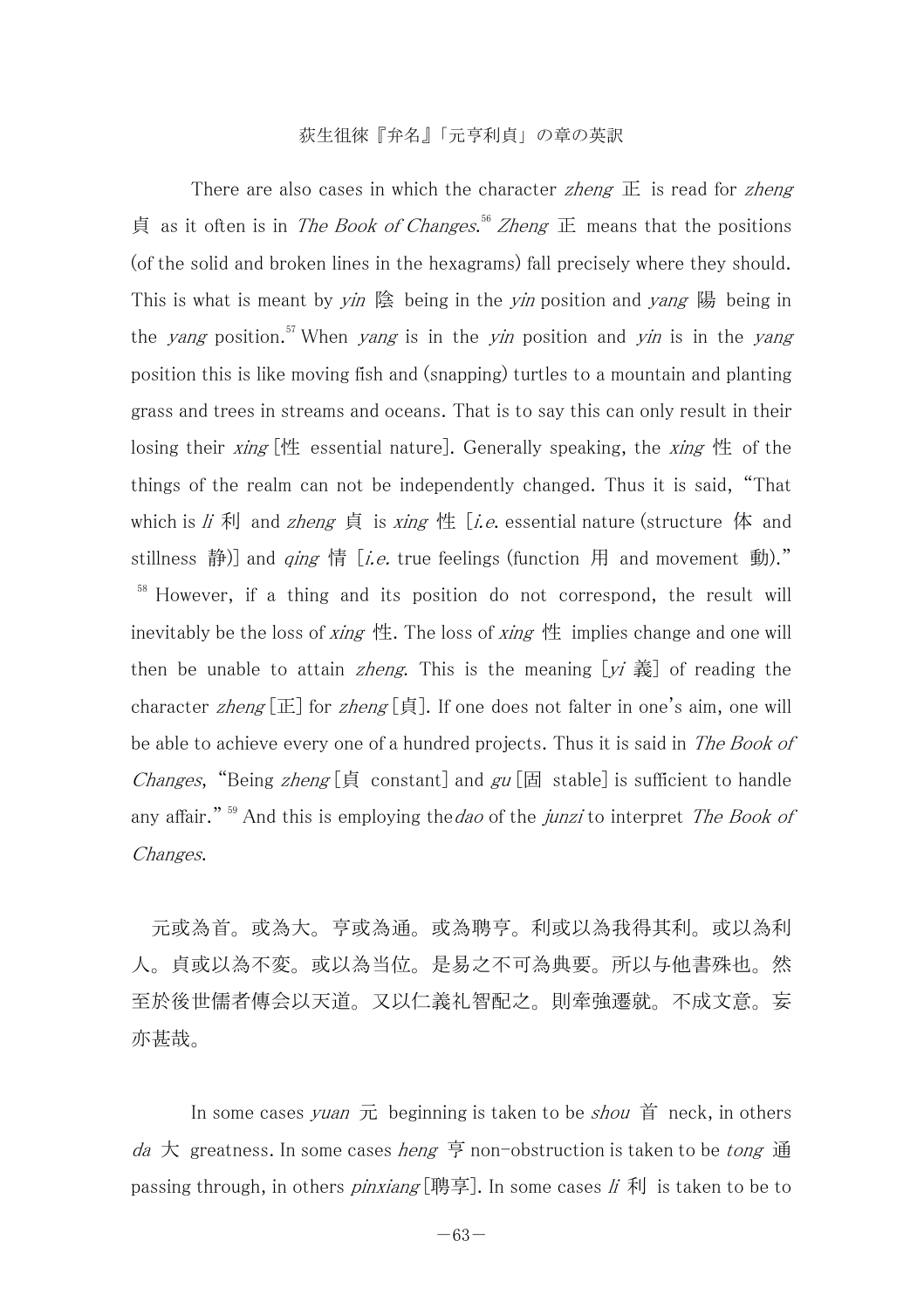There are also cases in which the character *zheng*  $\overline{E}$  is read for *zheng* 貞 as it often is in *The Book of Changes*.<sup>56</sup> Zheng 正 means that the positions (of the solid and broken lines in the hexagrams) fall precisely where they should. This is what is meant by  $\nu$   $\dot{m}$  陰 being in the  $\nu$  position and  $\nu$  ang 陽 being in the *yang* position.<sup>57</sup> When *yang* is in the *yin* position and *yin* is in the *yang* position this is like moving fish and (snapping) turtles to a mountain and planting grass and trees in streams and oceans. That is to say this can only result in their losing their *xing* [性 essential nature]. Generally speaking, the *xing* 性 of the things of the realm can not be independently changed. Thus it is said, "That which is  $\vec{u}$  利 and zheng 貞 is xing 性 [i.e. essential nature (structure 体 and stillness 静)] and *qing* 情 [*i.e.* true feelings (function 用 and movement 動)." <sup>58</sup> However, if a thing and its position do not correspond, the result will inevitably be the loss of *xing* 性. The loss of *xing* 性 implies change and one will then be unable to attain *zheng*. This is the meaning  $[y_i \, \dot{\mathbf{x}}]$  of reading the character *zheng* [正] for *zheng* [貞]. If one does not falter in one's aim, one will be able to achieve every one of a hundred projects. Thus it is said in The Book of Changes, "Being zheng [ $\oint$ ] constant] and gu [ $\Box$ ] stable] is sufficient to handle any affair."  $59$  And this is employing the *dao* of the *junzi* to interpret *The Book of* Changes.

 元或為首。或為大。亨或為通。或為聘亨。利或以為我得其利。或以為利 人。貞或以為不変。或以為当位。是易之不可為典要。所以与他書殊也。然 至於後世儒者傳会以天道。又以仁義礼智配之。則牽強遷就。不成文意。妄 亦甚哉。

In some cases yuan  $\bar{\pi}$  beginning is taken to be *shou*  $\check{\mathbf{F}}$  neck, in others da 大 greatness. In some cases heng 亨 non-obstruction is taken to be tong 通 passing through, in others *pinxiang* [聘享]. In some cases  $\vec{u}$  利 is taken to be to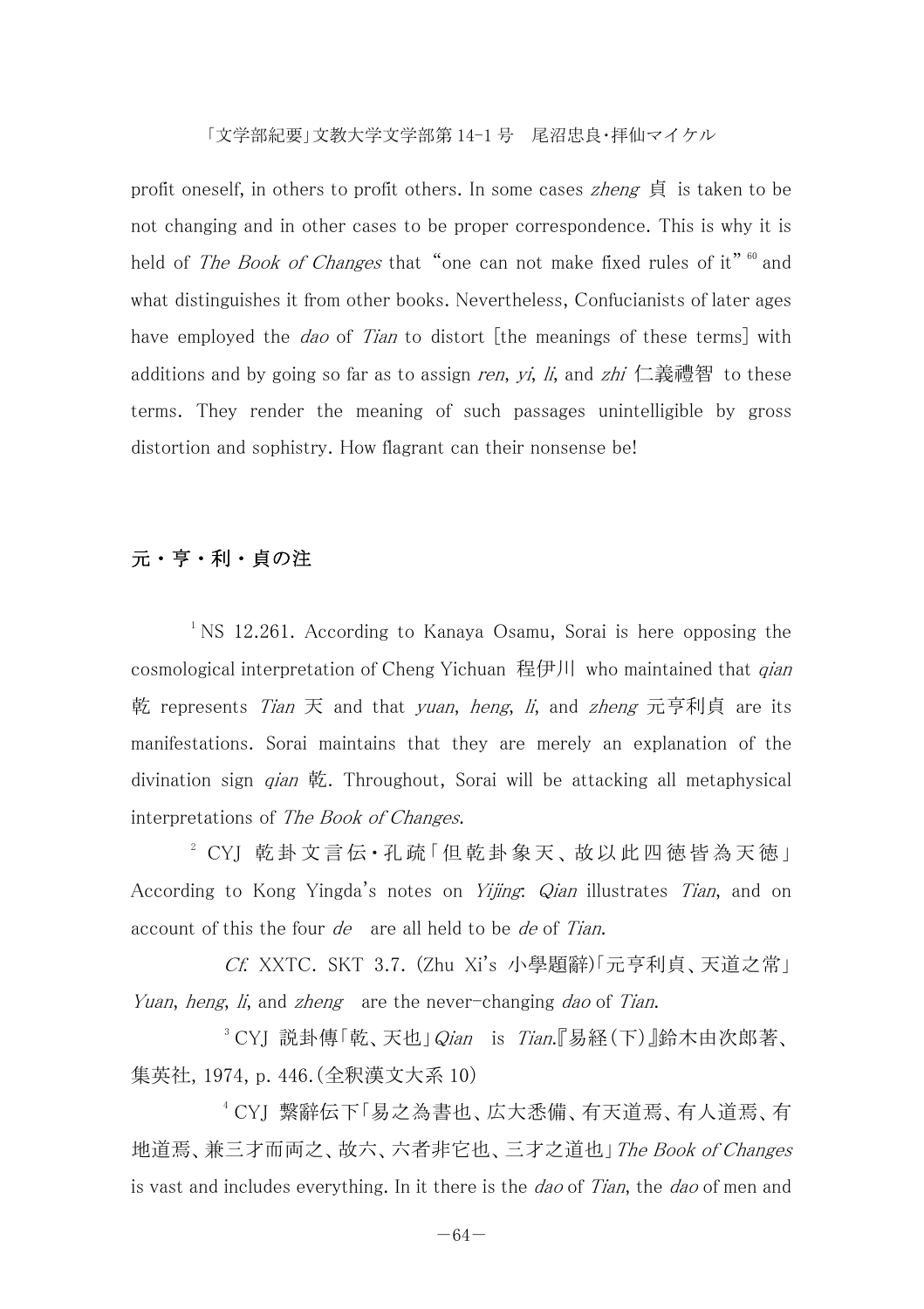profit oneself, in others to profit others. In some cases *zheng* 貞 is taken to be not changing and in other cases to be proper correspondence. This is why it is held of *The Book of Changes* that "one can not make fixed rules of it" <sup>60</sup> and what distinguishes it from other books. Nevertheless, Confucianists of later ages have employed the *dao* of Tian to distort [the meanings of these terms] with additions and by going so far as to assign ren,  $yi$ ,  $li$ , and  $zhi$  仁義禮智 to these terms. They render the meaning of such passages unintelligible by gross distortion and sophistry. How flagrant can their nonsense be!

# 元・亨・利・貞の注

<sup>1</sup> NS 12.261. According to Kanaya Osamu, Sorai is here opposing the cosmological interpretation of Cheng Yichuan 程伊川 who maintained that *qian* 乾 represents *Tian* 天 and that *yuan*, *heng*, *li*, and *zheng* 元亨利貞 are its manifestations. Sorai maintains that they are merely an explanation of the divination sign *gian* 乾. Throughout, Sorai will be attacking all metaphysical interpretations of The Book of Changes.

 $2$  CYI 乾卦 文言伝·孔疏「但乾卦象天、故以此四徳皆為天徳」 According to Kong Yingda's notes on *Yijing*: *Qian* illustrates Tian, and on account of this the four *de* are all held to be *de* of Tian.

Cf. XXTC. SKT 3.7. (Zhu Xi's 小學題辭)「元亨利貞、天道之常」 Yuan, heng, li, and zheng are the never-changing dao of Tian.

 $3$  CYJ 説卦傳「乾、天也」 $Q$ ian is Tian.『易経(下)』鈴木由次郎著、 集英社, 1974, p. 446.(全釈漢文大系 10)

4 CYJ 繋辭伝下「易之為書也、広大悉備、有天道焉、有人道焉、有 地道焉、兼三才而両之、故六、六者非它也、三才之道也」The Book of Changes is vast and includes everything. In it there is the *dao* of Tian, the *dao* of men and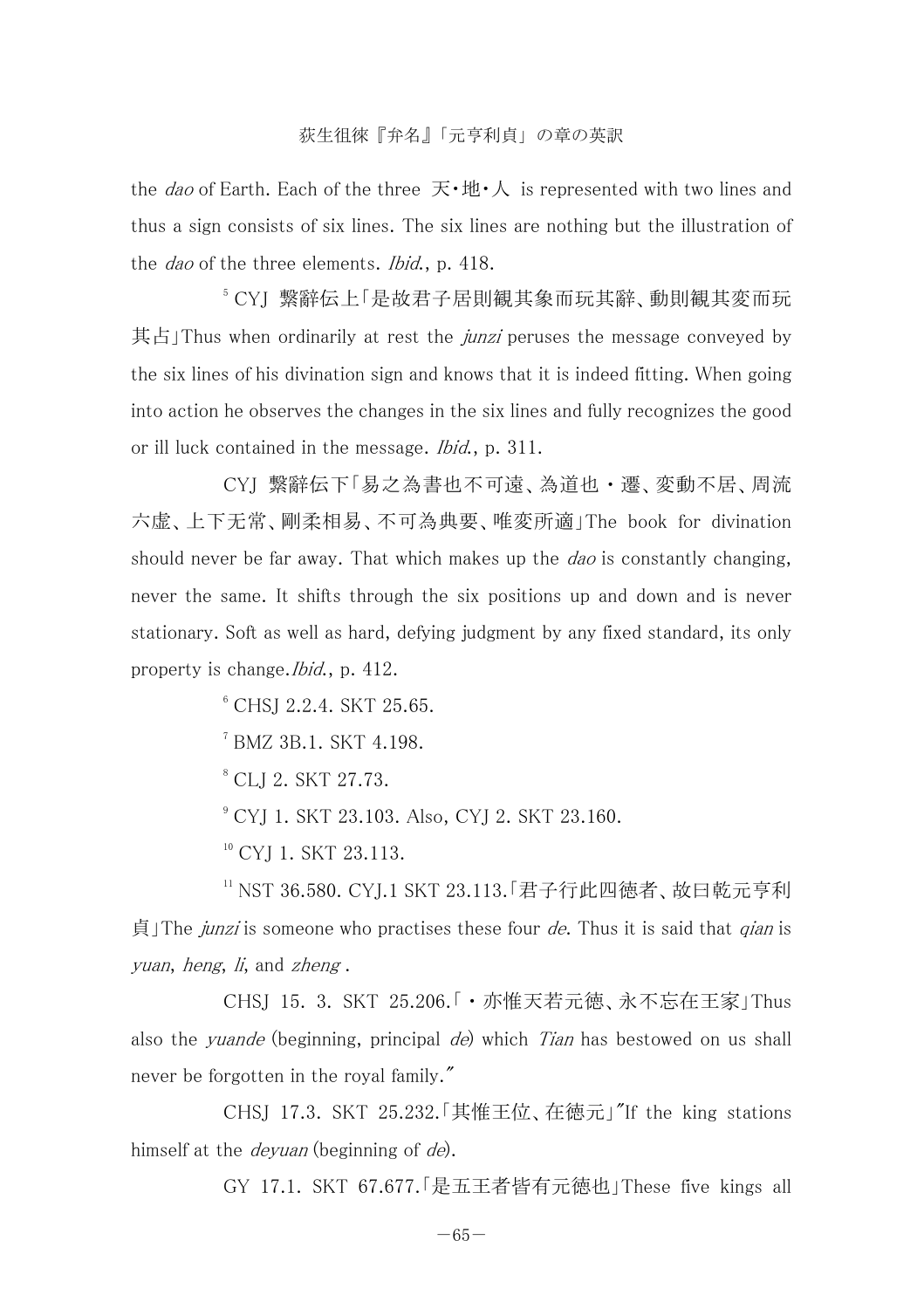the *dao* of Earth. Each of the three  $\vec{R} \cdot \vec{B} \cdot \vec{A}$  is represented with two lines and thus a sign consists of six lines. The six lines are nothing but the illustration of the *dao* of the three elements. *Ibid.*, p. 418.

5 CYJ 繋辭伝上「是故君子居則観其象而玩其辭、動則観其変而玩 其占 Thus when ordinarily at rest the *junzi* peruses the message conveyed by the six lines of his divination sign and knows that it is indeed fitting. When going into action he observes the changes in the six lines and fully recognizes the good or ill luck contained in the message. *Ibid.*, p. 311.

 CYJ 繋辭伝下「易之為書也不可遠、為道也・遷、変動不居、周流 六虚、上下无常、剛柔相易、不可為典要、唯変所適」The book for divination should never be far away. That which makes up the *dao* is constantly changing, never the same. It shifts through the six positions up and down and is never stationary. Soft as well as hard, defying judgment by any fixed standard, its only property is change.Ibid., p. 412.

 $6$  CHS<sub>I</sub> 2.2.4. SKT 25.65.

 $^7$  BMZ 3B.1. SKT 4.198.

8 CLJ 2. SKT 27.73.

<sup>9</sup> CYI 1. SKT 23.103. Also, CYI 2. SKT 23.160.

<sup>10</sup> CYI 1. SKT 23.113.

11 NST 36.580. CYJ.1 SKT 23.113.「君子行此四徳者、故曰乾元亨利  $\ddot{\mathbf{\Theta}}$  The *junzi* is someone who practises these four *de*. Thus it is said that *gian* is yuan, heng, li, and zheng .

 CHSJ 15. 3. SKT 25.206.「・亦惟天若元徳、永不忘在王家」Thus also the *vuande* (beginning, principal *de*) which *Tian* has bestowed on us shall never be forgotten in the royal family."

 CHSJ 17.3. SKT 25.232.「其惟王位、在徳元」"If the king stations himself at the *devuan* (beginning of *de*).

GY 17.1. SKT 67.677.「是五王者皆有元徳也」These five kings all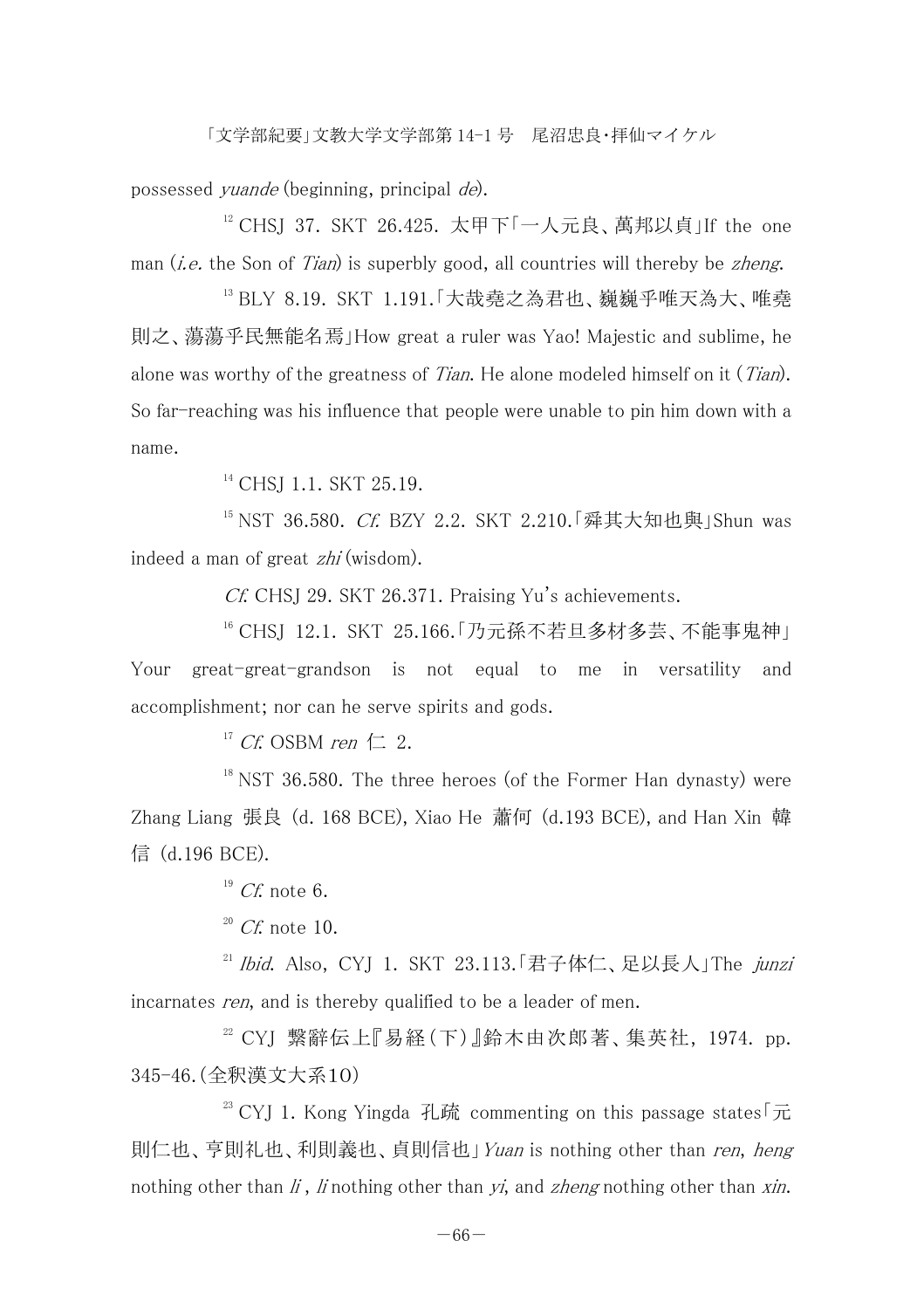possessed yuande (beginning, principal de).

 $12$  CHSI 37. SKT 26.425. 太甲下「一人元良、萬邦以貞」If the one man  $(i.e.$  the Son of Tian) is superbly good, all countries will thereby be zheng.

13 BLY 8.19. SKT 1.191.「大哉堯之為君也、巍巍乎唯天為大、唯堯 則之、蕩蕩乎民無能名焉」How great a ruler was Yao! Majestic and sublime, he alone was worthy of the greatness of *Tian*. He alone modeled himself on it  $(Tian)$ . So far-reaching was his influence that people were unable to pin him down with a name.

<sup>14</sup> CHS<sub>I</sub> 1.1, SKT 25.19.

 $15$  NST 36.580. Cf. BZY 2.2. SKT 2.210.「舜其大知也與」Shun was indeed a man of great zhi (wisdom).

Cf. CHSJ 29. SKT 26.371. Praising Yu's achievements.

16 CHSJ 12.1. SKT 25.166.「乃元孫不若旦多材多芸、不能事鬼神」 Your great-great-grandson is not equal to me in versatility and accomplishment; nor can he serve spirits and gods.

<sup>17</sup> Cf. OSBM ren  $\pm$  2.

 $18$  NST 36.580. The three heroes (of the Former Han dynasty) were Zhang Liang 張良 (d. 168 BCE), Xiao He 蕭何 (d.193 BCE), and Han Xin 韓 信 (d.196 BCE).

 $^{19}Cf$  note 6.

 $20$  Cf. note 10.

 $21$  Ibid. Also, CYI 1. SKT 23.113.「君子体仁、足以長人」The junzi incarnates *ren*, and is thereby qualified to be a leader of men.

 $22$  CYJ 繫辭伝上『易経(下)』鈴木由次郎著、集英社, 1974. pp. 345-46.(全釈漢文大系10)

 $^{23}$  CYI 1. Kong Yingda 孔疏 commenting on this passage states  $\sqrt{\pi}$ 則仁也、亨則礼也、利則義也、貞則信也」Yuan is nothing other than ren, heng nothing other than  $\ddot{I}$ ,  $\ddot{I}$  nothing other than  $\ddot{Y}$ , and *zheng* nothing other than  $\ddot{X}$ *in.*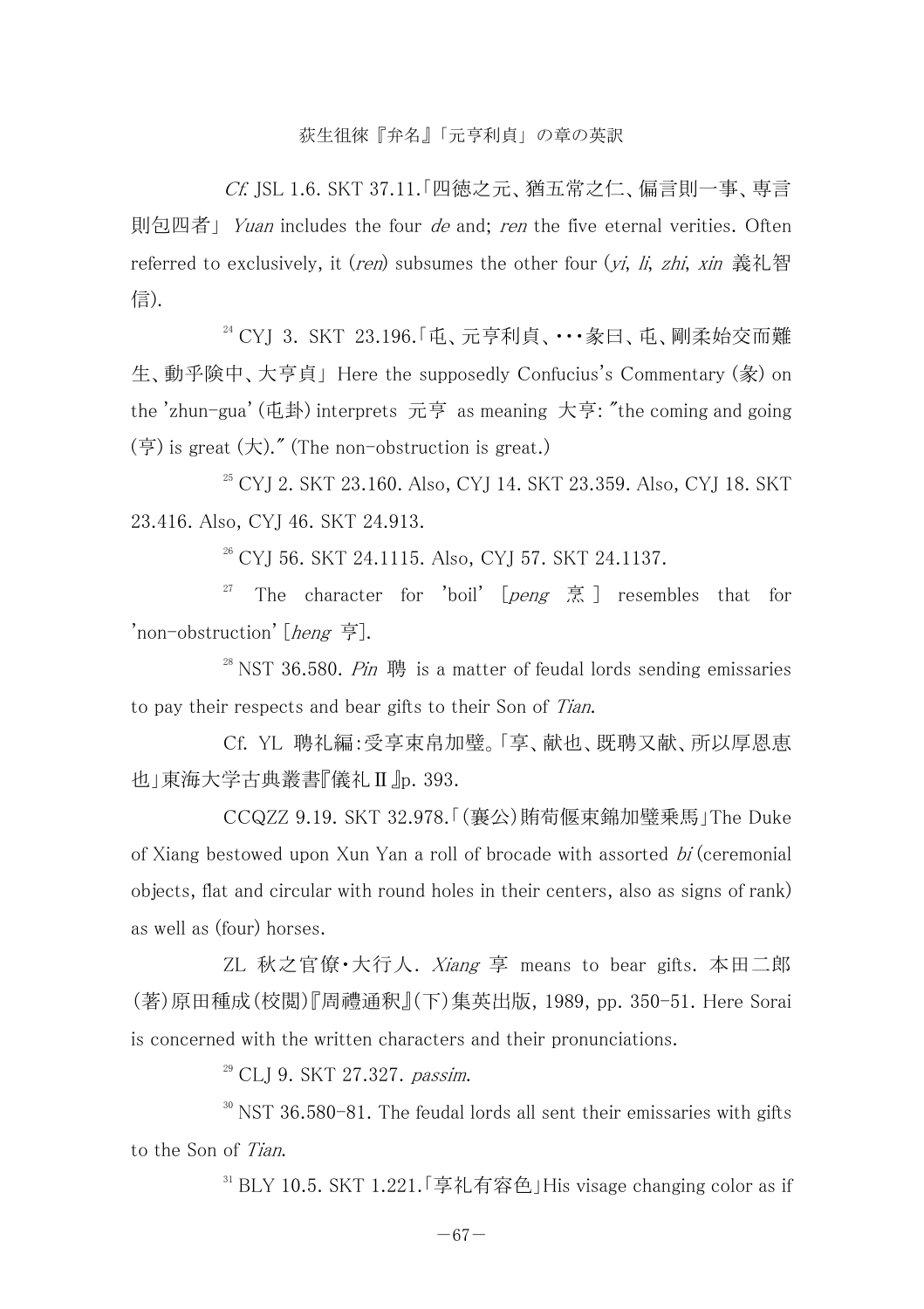Cf. JSL 1.6. SKT 37.11.「四徳之元、猶五常之仁、偏言則一事、専言 則包四者」 Yuan includes the four de and; ren the five eternal verities. Often referred to exclusively, it *(ren)* subsumes the other four *(vi, li, zhi, xin* 義礼智 信).

24 CYJ 3. SKT 23.196.「屯、元亨利貞、・・・彖曰、屯、剛柔始交而難 生、動乎険中、大亨貞」 Here the supposedly Confucius's Commentary (彖) on the 'zhun-gua' (屯卦) interprets 元亨 as meaning 大亨: "the coming and going  $(\overline{\mathfrak{p}})$  is great  $(\overline{\mathcal{R}})$ ." (The non-obstruction is great.)

<sup>25</sup> CYJ 2. SKT 23.160. Also, CYJ 14. SKT 23.359. Also, CYJ 18. SKT 23.416. Also, CYJ 46. SKT 24.913.

 $26$  CYJ 56. SKT 24.1115. Also, CYJ 57. SKT 24.1137.

<sup>27</sup> The character for 'boil'  $\lceil$  peng  $\bar{\mathbb{R}}$  and resembles that for 'non-obstruction' [heng 亨].

<sup>28</sup> NST 36.580. *Pin*  $\overline{1}$  is a matter of feudal lords sending emissaries to pay their respects and bear gifts to their Son of Tian.

 Cf. YL 聘礼編:受享束帛加璧。「享、献也、既聘又献、所以厚恩恵 也」東海大学古典叢書『儀礼Ⅱ』p. 393.

 CCQZZ 9.19. SKT 32.978.「(襄公)賄荀偃束錦加璧乗馬」The Duke of Xiang bestowed upon Xun Yan a roll of brocade with assorted bi (ceremonial objects, flat and circular with round holes in their centers, also as signs of rank) as well as (four) horses.

 ZL 秋之官僚・大行人. Xiang 享 means to bear gifts. 本田二郎 (著)原田種成(校閲)『周禮通釈』(下)集英出版, 1989, pp. 350-51. Here Sorai is concerned with the written characters and their pronunciations.

<sup>29</sup> CLI 9. SKT 27.327. passim.

 $30$  NST 36.580-81. The feudal lords all sent their emissaries with gifts to the Son of Tian.

 $31$  BLY 10.5. SKT 1.221. 「享礼有容色」His visage changing color as if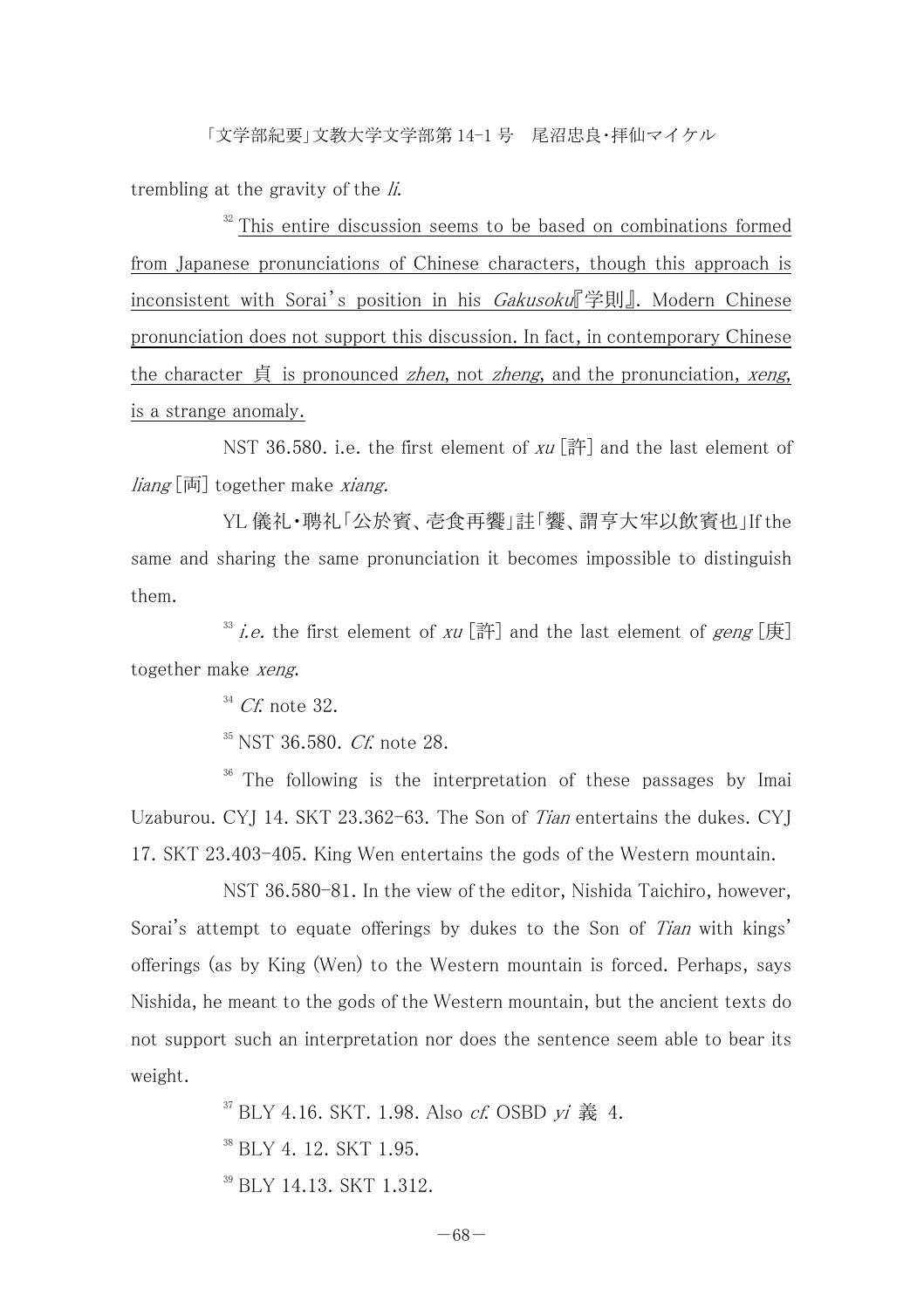trembling at the gravity of the  $li$ .

 $32$  This entire discussion seems to be based on combinations formed from Japanese pronunciations of Chinese characters, though this approach is inconsistent with Sorai's position in his Gakusoku『学則』. Modern Chinese pronunciation does not support this discussion. In fact, in contemporary Chinese the character  $\dot{\mathfrak{g}}$  is pronounced *zhen*, not *zheng*, and the pronunciation, *xeng*, is a strange anomaly.

NST 36.580, i.e. the first element of  $xu$  [#] and the last element of  $\lim_{\mathcal{E}}$  [両] together make *xiang*.

YL 儀礼・聘礼「公於賓、壱食再饗」註「饗、謂亨大牢以飲賓也」If the same and sharing the same pronunciation it becomes impossible to distinguish them.

<sup>33</sup> i.e. the first element of xu  $[\mathbb{H}]$  and the last element of geng  $[\mathbb{H}]$ together make xeng.

 $34$  Cf. note 32.

 $35$  NST 36.580. Cf. note 28.

<sup>36</sup> The following is the interpretation of these passages by Imai Uzaburou. CYI 14. SKT 23.362-63. The Son of Tian entertains the dukes. CYI 17. SKT 23.403-405. King Wen entertains the gods of the Western mountain.

 NST 36.580-81. In the view of the editor, Nishida Taichiro, however, Sorai's attempt to equate offerings by dukes to the Son of Tian with kings' offerings (as by King (Wen) to the Western mountain is forced. Perhaps, says Nishida, he meant to the gods of the Western mountain, but the ancient texts do not support such an interpretation nor does the sentence seem able to bear its weight.

> $37$  BLY 4.16, SKT, 1.98. Also *cf.* OSBD  $vi \triangleq 4$ . <sup>38</sup> BLY 4 12. SKT 1.95. 39 BLY 14.13. SKT 1.312.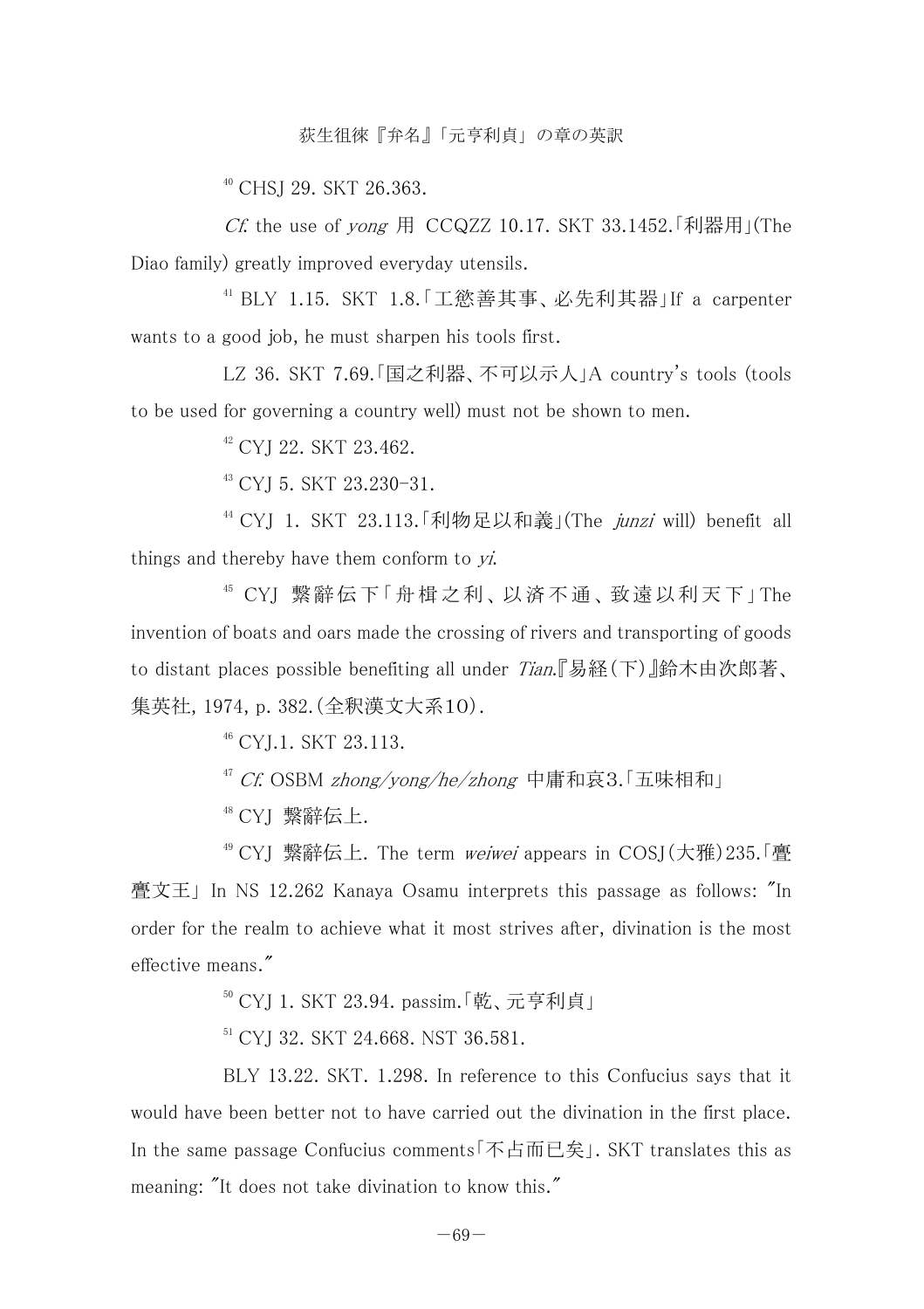<sup>40</sup> CHSI 29. SKT 26.363.

Cf. the use of yong 用 CCQZZ 10.17. SKT 33.1452. 「利器用」(The Diao family) greatly improved everyday utensils.

41 BLY 1.15. SKT 1.8.「工慾善其事、必先利其器」If a carpenter wants to a good job, he must sharpen his tools first.

 LZ 36. SKT 7.69.「国之利器、不可以示人」A country's tools (tools to be used for governing a country well) must not be shown to men.

42 CYJ 22. SKT 23.462.

43 CYJ 5. SKT 23.230-31.

 $44$  CYI 1. SKT 23.113. 「利物足以和義」(The *junzi* will) benefit all things and thereby have them conform to  $yi$ .

45 CYJ 繋 辭 伝 下「 舟 楫 之 利、 以 済 不 通 、 致 遠 以 利 天 下」The invention of boats and oars made the crossing of rivers and transporting of goods to distant places possible benefiting all under Tian.『易経(下)』鈴木由次郎著、 集英社, 1974, p. 382.(全釈漢文大系10).

46 CYJ.1. SKT 23.113.

<sup>47</sup> Cf. OSBM zhong/vong/he/zhong 中庸和哀3.「五味相和」

48 CYJ 繋辭伝上.

<sup>49</sup> CYI 繋辭伝上. The term *weiwei* appears in COSI(大雅)235.「亹 亹文王」 In NS 12.262 Kanaya Osamu interprets this passage as follows: "In order for the realm to achieve what it most strives after, divination is the most effective means."

50 CYJ 1. SKT 23.94. passim.「乾、元亨利貞」

<sup>51</sup> CYI 32. SKT 24.668. NST 36.581.

 BLY 13.22. SKT. 1.298. In reference to this Confucius says that it would have been better not to have carried out the divination in the first place. In the same passage Confucius comments「不占而已矣」. SKT translates this as meaning: "It does not take divination to know this."